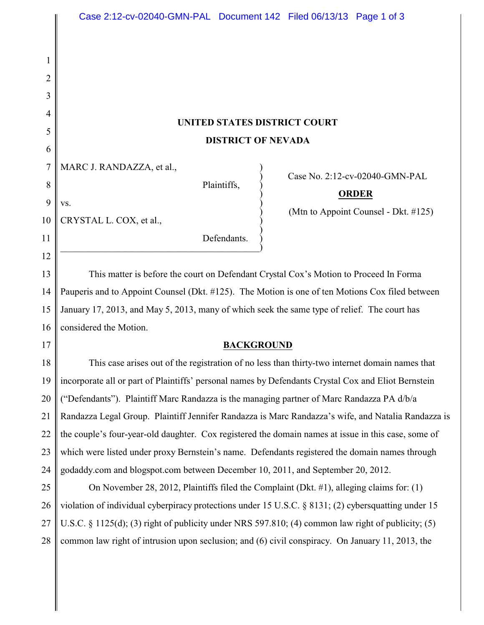## **UNITED STATES DISTRICT COURT DISTRICT OF NEVADA**

 $\big)$ 

7 MARC J. RANDAZZA, et al.,

 $\mathbf{v}\mathbf{s}$ .

Plaintiffs, )

) Case No. 2:12-cv-02040-GMN-PAL

## ) **ORDER**

) (Mtn to Appoint Counsel - Dkt. #125)

10 CRYSTAL L. COX, et al., )

> Defendants.  $\hspace{.5cm}$   $\hspace{.5cm}$   $\hspace{.5cm}$   $\hspace{.5cm}$   $\hspace{.5cm}$   $\hspace{.5cm}$   $\hspace{.5cm}$   $\hspace{.5cm}$   $\hspace{.5cm}$   $\hspace{.5cm}$   $\hspace{.5cm}$   $\hspace{.5cm}$   $\hspace{.5cm}$   $\hspace{.5cm}$   $\hspace{.5cm}$   $\hspace{.5cm}$   $\hspace{.5cm}$   $\hspace{.5cm}$   $\hspace{.5cm}$   $\hspace{.5cm}$

13 14 15 16 This matter is before the court on Defendant Crystal Cox's Motion to Proceed In Forma Pauperis and to Appoint Counsel (Dkt. #125). The Motion is one of ten Motions Cox filed between January 17, 2013, and May 5, 2013, many of which seek the same type of relief. The court has considered the Motion.

17

1

2

3

4

5

6

8

9

11

12

## **BACKGROUND**

18 19 20 21 22 23 24 This case arises out of the registration of no less than thirty-two internet domain names that incorporate all or part of Plaintiffs' personal names by Defendants Crystal Cox and Eliot Bernstein ("Defendants"). Plaintiff Marc Randazza is the managing partner of Marc Randazza PA d/b/a Randazza Legal Group. Plaintiff Jennifer Randazza is Marc Randazza's wife, and Natalia Randazza is the couple's four-year-old daughter. Cox registered the domain names at issue in this case, some of which were listed under proxy Bernstein's name. Defendants registered the domain names through godaddy.com and blogspot.com between December 10, 2011, and September 20, 2012.

25 26 27 28 On November 28, 2012, Plaintiffs filed the Complaint (Dkt. #1), alleging claims for: (1) violation of individual cyberpiracy protections under 15 U.S.C. § 8131; (2) cybersquatting under 15 U.S.C. § 1125(d); (3) right of publicity under NRS 597.810; (4) common law right of publicity; (5) common law right of intrusion upon seclusion; and (6) civil conspiracy. On January 11, 2013, the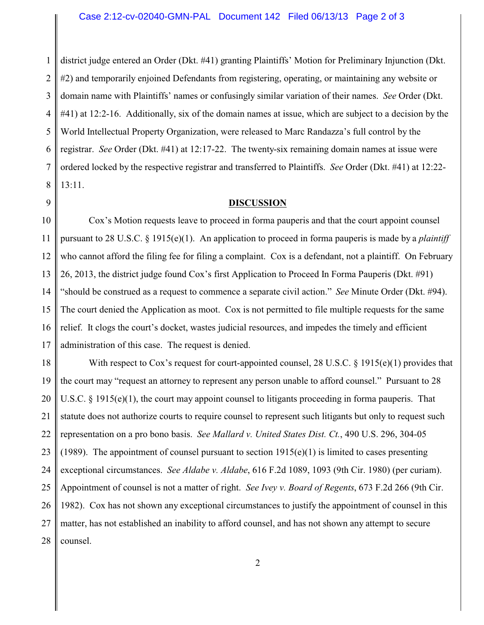1 2 3 4 5 6 7 8 district judge entered an Order (Dkt. #41) granting Plaintiffs' Motion for Preliminary Injunction (Dkt. #2) and temporarily enjoined Defendants from registering, operating, or maintaining any website or domain name with Plaintiffs' names or confusingly similar variation of their names. *See* Order (Dkt. #41) at 12:2-16. Additionally, six of the domain names at issue, which are subject to a decision by the World Intellectual Property Organization, were released to Marc Randazza's full control by the registrar. *See* Order (Dkt. #41) at 12:17-22. The twenty-six remaining domain names at issue were ordered locked by the respective registrar and transferred to Plaintiffs. *See* Order (Dkt. #41) at 12:22- 13:11.

9

## **DISCUSSION**

10 11 12 13 14 15 16 17 Cox's Motion requests leave to proceed in forma pauperis and that the court appoint counsel pursuant to 28 U.S.C. § 1915(e)(1). An application to proceed in forma pauperis is made by a *plaintiff* who cannot afford the filing fee for filing a complaint. Cox is a defendant, not a plaintiff. On February 26, 2013, the district judge found Cox's first Application to Proceed In Forma Pauperis (Dkt. #91) "should be construed as a request to commence a separate civil action." *See* Minute Order (Dkt. #94). The court denied the Application as moot. Cox is not permitted to file multiple requests for the same relief. It clogs the court's docket, wastes judicial resources, and impedes the timely and efficient administration of this case. The request is denied.

18 19 20 21 22 23 24 25 26 27 28 With respect to Cox's request for court-appointed counsel, 28 U.S.C. § 1915(e)(1) provides that the court may "request an attorney to represent any person unable to afford counsel." Pursuant to 28 U.S.C. § 1915(e)(1), the court may appoint counsel to litigants proceeding in forma pauperis. That statute does not authorize courts to require counsel to represent such litigants but only to request such representation on a pro bono basis. *See Mallard v. United States Dist. Ct.*, 490 U.S. 296, 304-05 (1989). The appointment of counsel pursuant to section  $1915(e)(1)$  is limited to cases presenting exceptional circumstances. *See Aldabe v. Aldabe*, 616 F.2d 1089, 1093 (9th Cir. 1980) (per curiam). Appointment of counsel is not a matter of right. *See Ivey v. Board of Regents*, 673 F.2d 266 (9th Cir. 1982). Cox has not shown any exceptional circumstances to justify the appointment of counsel in this matter, has not established an inability to afford counsel, and has not shown any attempt to secure counsel.

2